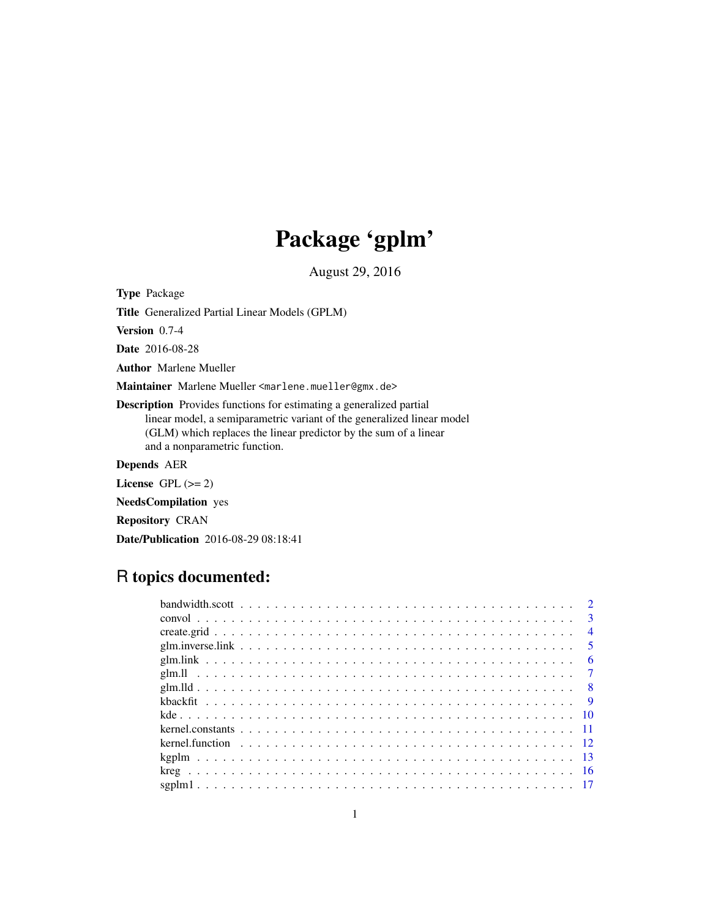# Package 'gplm'

August 29, 2016

<span id="page-0-0"></span>Type Package

Title Generalized Partial Linear Models (GPLM)

Version 0.7-4

Date 2016-08-28

Author Marlene Mueller

Maintainer Marlene Mueller <marlene.mueller@gmx.de>

Description Provides functions for estimating a generalized partial linear model, a semiparametric variant of the generalized linear model (GLM) which replaces the linear predictor by the sum of a linear and a nonparametric function.

# Depends AER

License GPL  $(>= 2)$ 

NeedsCompilation yes

Repository CRAN

Date/Publication 2016-08-29 08:18:41

# R topics documented:

|  |  |  |  |  |  |  |  |  |  |  |  |  |  |  |  |  |  |  |  | $\overline{3}$ |
|--|--|--|--|--|--|--|--|--|--|--|--|--|--|--|--|--|--|--|--|----------------|
|  |  |  |  |  |  |  |  |  |  |  |  |  |  |  |  |  |  |  |  | $\overline{4}$ |
|  |  |  |  |  |  |  |  |  |  |  |  |  |  |  |  |  |  |  |  | $\sqrt{5}$     |
|  |  |  |  |  |  |  |  |  |  |  |  |  |  |  |  |  |  |  |  | - 6            |
|  |  |  |  |  |  |  |  |  |  |  |  |  |  |  |  |  |  |  |  |                |
|  |  |  |  |  |  |  |  |  |  |  |  |  |  |  |  |  |  |  |  |                |
|  |  |  |  |  |  |  |  |  |  |  |  |  |  |  |  |  |  |  |  |                |
|  |  |  |  |  |  |  |  |  |  |  |  |  |  |  |  |  |  |  |  |                |
|  |  |  |  |  |  |  |  |  |  |  |  |  |  |  |  |  |  |  |  |                |
|  |  |  |  |  |  |  |  |  |  |  |  |  |  |  |  |  |  |  |  |                |
|  |  |  |  |  |  |  |  |  |  |  |  |  |  |  |  |  |  |  |  |                |
|  |  |  |  |  |  |  |  |  |  |  |  |  |  |  |  |  |  |  |  |                |
|  |  |  |  |  |  |  |  |  |  |  |  |  |  |  |  |  |  |  |  |                |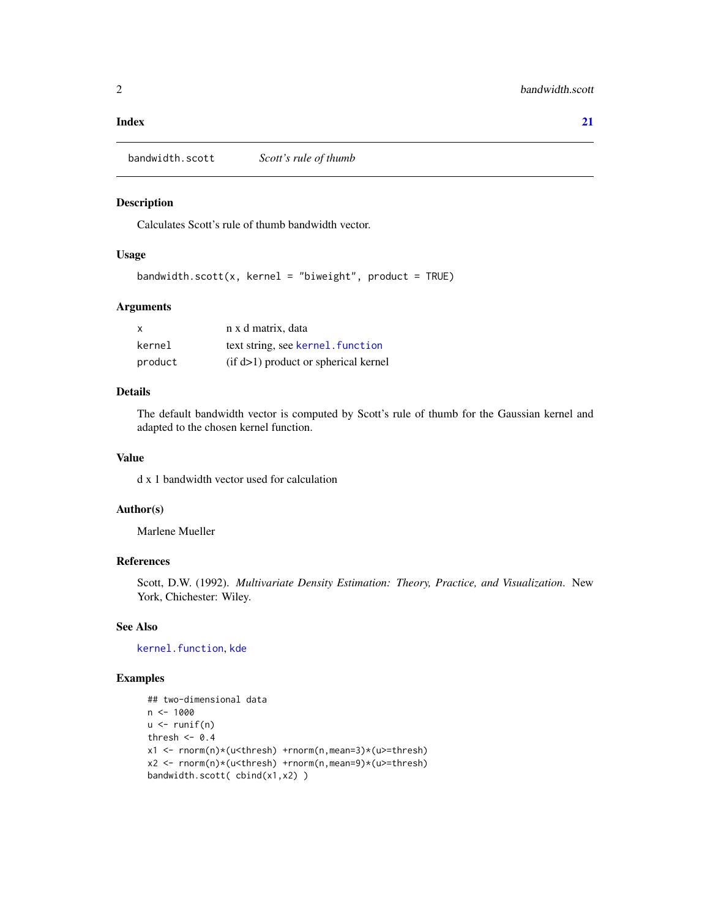#### <span id="page-1-0"></span>**Index** [21](#page-20-0)

bandwidth.scott *Scott's rule of thumb*

# Description

Calculates Scott's rule of thumb bandwidth vector.

# Usage

```
bandwidth.scott(x, kernel = "biweight", product = TRUE)
```
# Arguments

| X       | n x d matrix, data                     |
|---------|----------------------------------------|
| kernel  | text string, see kernel. function      |
| product | $(if d>1)$ product or spherical kernel |

#### Details

The default bandwidth vector is computed by Scott's rule of thumb for the Gaussian kernel and adapted to the chosen kernel function.

#### Value

d x 1 bandwidth vector used for calculation

# Author(s)

Marlene Mueller

# References

Scott, D.W. (1992). *Multivariate Density Estimation: Theory, Practice, and Visualization*. New York, Chichester: Wiley.

#### See Also

[kernel.function](#page-11-1), [kde](#page-9-1)

```
## two-dimensional data
n < -1000u \leftarrow runif(n)thresh <-0.4x1 <- rnorm(n)*(u<thresh) +rnorm(n,mean=3)*(u>=thresh)
x2 <- rnorm(n)*(u<thresh) +rnorm(n,mean=9)*(u>=thresh)
bandwidth.scott( cbind(x1,x2) )
```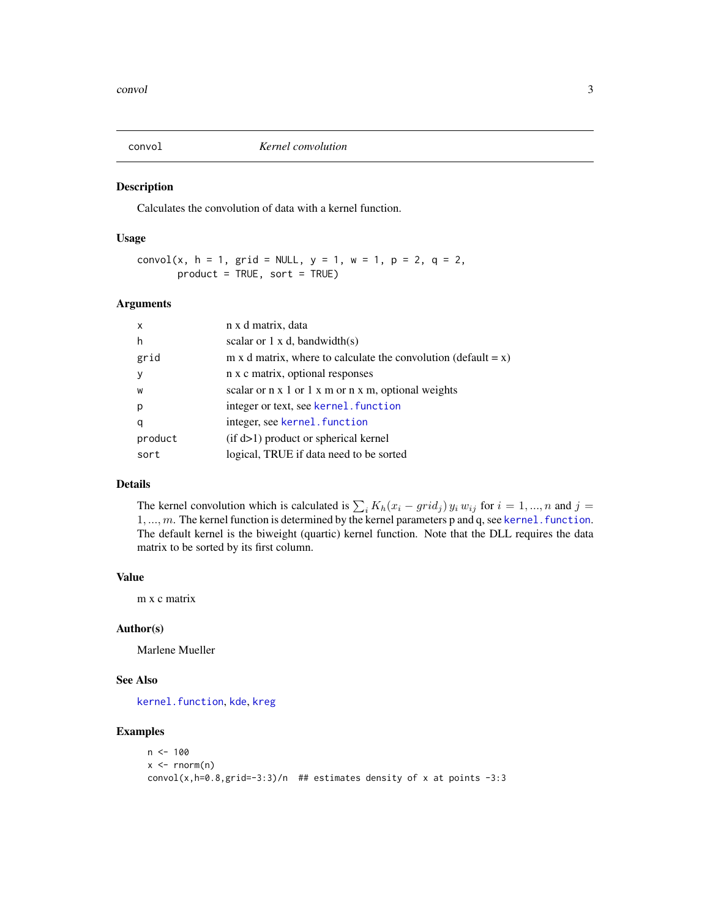<span id="page-2-1"></span><span id="page-2-0"></span>

Calculates the convolution of data with a kernel function.

#### Usage

```
convol(x, h = 1, grid = NULL, y = 1, w = 1, p = 2, q = 2,
      product = TRUE, sort = TRUE)
```
#### Arguments

| $\boldsymbol{\mathsf{x}}$ | n x d matrix, data                                                        |
|---------------------------|---------------------------------------------------------------------------|
| h                         | scalar or $1 \times d$ , bandwidth(s)                                     |
| grid                      | m x d matrix, where to calculate the convolution (default = $x$ )         |
| <b>y</b>                  | n x c matrix, optional responses                                          |
| W                         | scalar or $n \times 1$ or $1 \times m$ or $n \times m$ , optional weights |
| p                         | integer or text, see kernel. function                                     |
| q                         | integer, see kernel. function                                             |
| product                   | $(if d>1)$ product or spherical kernel                                    |
| sort                      | logical, TRUE if data need to be sorted                                   |
|                           |                                                                           |

# Details

The kernel convolution which is calculated is  $\sum_i K_h(x_i - grid_j) y_i w_{ij}$  for  $i = 1, ..., n$  and  $j =$  $1, ..., m$ . The kernel function is determined by the kernel parameters p and q, see kernel. function. The default kernel is the biweight (quartic) kernel function. Note that the DLL requires the data matrix to be sorted by its first column.

#### Value

m x c matrix

#### Author(s)

Marlene Mueller

#### See Also

[kernel.function](#page-11-1), [kde](#page-9-1), [kreg](#page-15-1)

```
n < - 100x < - rnorm(n)
convol(x,h=0.8,grid=-3:3)/n ## estimates density of x at points -3:3
```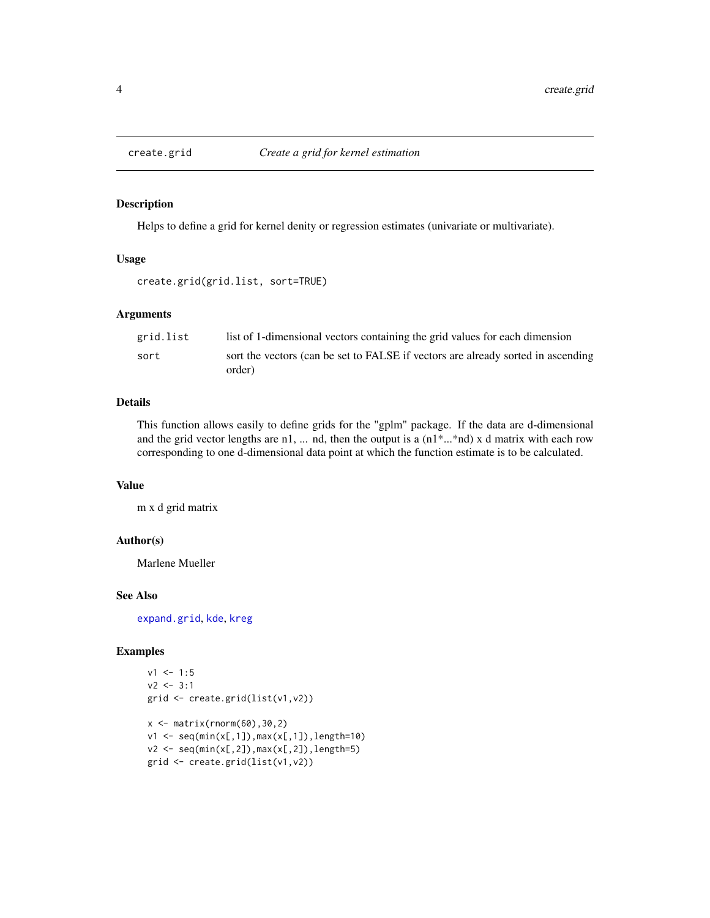<span id="page-3-0"></span>

Helps to define a grid for kernel denity or regression estimates (univariate or multivariate).

#### Usage

```
create.grid(grid.list, sort=TRUE)
```
#### Arguments

| grid.list | list of 1-dimensional vectors containing the grid values for each dimension                |
|-----------|--------------------------------------------------------------------------------------------|
| sort      | sort the vectors (can be set to FALSE if vectors are already sorted in ascending<br>order) |

# Details

This function allows easily to define grids for the "gplm" package. If the data are d-dimensional and the grid vector lengths are n1, ... nd, then the output is a (n1\*...\*nd) x d matrix with each row corresponding to one d-dimensional data point at which the function estimate is to be calculated.

#### Value

m x d grid matrix

#### Author(s)

Marlene Mueller

#### See Also

[expand.grid](#page-0-0), [kde](#page-9-1), [kreg](#page-15-1)

```
v1 <- 1:5
v2 \le -3:1grid <- create.grid(list(v1,v2))
x \leftarrow \text{matrix}(rnorm(60), 30, 2)v1 \leq -\text{seq}(\min(x[, 1]), max(x[,1]), length=10)
v2 \leq -\text{seq}(\min(x[, 2]), \max(x[, 2]), length=5)
grid <- create.grid(list(v1,v2))
```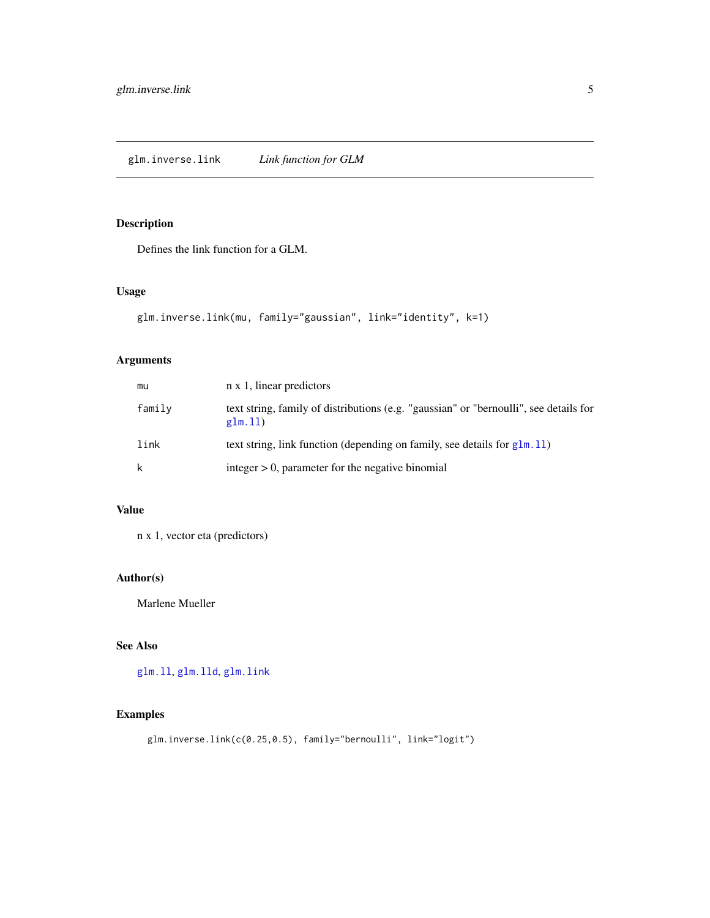<span id="page-4-1"></span><span id="page-4-0"></span>Defines the link function for a GLM.

# Usage

```
glm.inverse.link(mu, family="gaussian", link="identity", k=1)
```
# Arguments

| mu     | n x 1, linear predictors                                                                         |
|--------|--------------------------------------------------------------------------------------------------|
| family | text string, family of distributions (e.g. "gaussian" or "bernoulli", see details for<br>glm.11) |
| link   | text string, link function (depending on family, see details for $g1m.11$ )                      |
| k      | integer $> 0$ , parameter for the negative binomial                                              |

# Value

n x 1, vector eta (predictors)

# Author(s)

Marlene Mueller

# See Also

[glm.ll](#page-6-1), [glm.lld](#page-7-1), [glm.link](#page-5-1)

# Examples

glm.inverse.link(c(0.25,0.5), family="bernoulli", link="logit")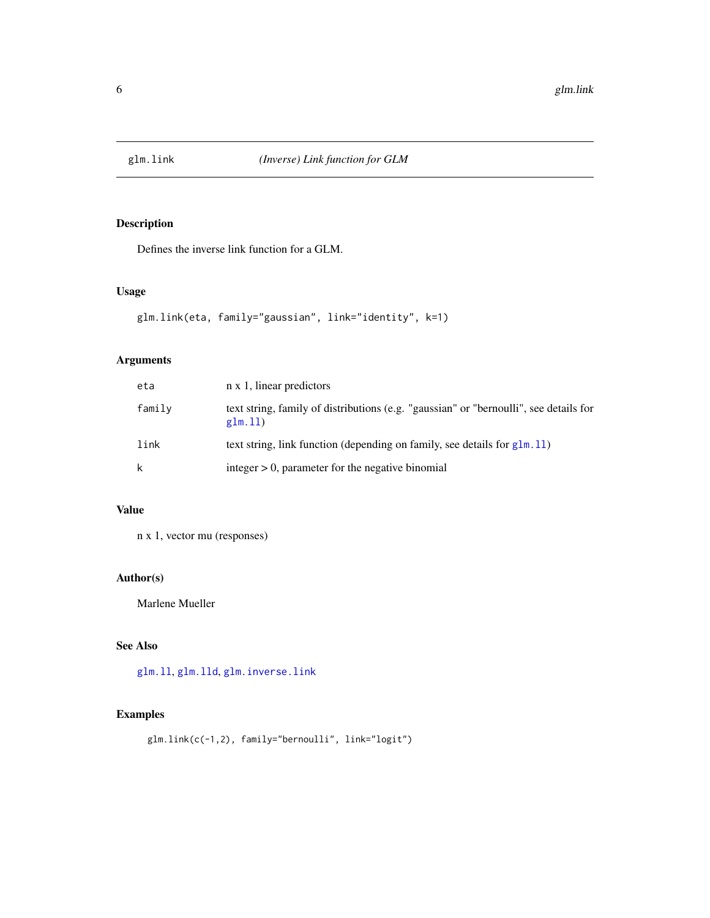<span id="page-5-1"></span><span id="page-5-0"></span>

Defines the inverse link function for a GLM.

# Usage

```
glm.link(eta, family="gaussian", link="identity", k=1)
```
# Arguments

| eta    | n x 1, linear predictors                                                                         |
|--------|--------------------------------------------------------------------------------------------------|
| family | text string, family of distributions (e.g. "gaussian" or "bernoulli", see details for<br>glm.11) |
| link   | text string, link function (depending on family, see details for $g1m.11$ )                      |
| k      | integer $> 0$ , parameter for the negative binomial                                              |

# Value

n x 1, vector mu (responses)

# Author(s)

Marlene Mueller

# See Also

[glm.ll](#page-6-1), [glm.lld](#page-7-1), [glm.inverse.link](#page-4-1)

# Examples

glm.link(c(-1,2), family="bernoulli", link="logit")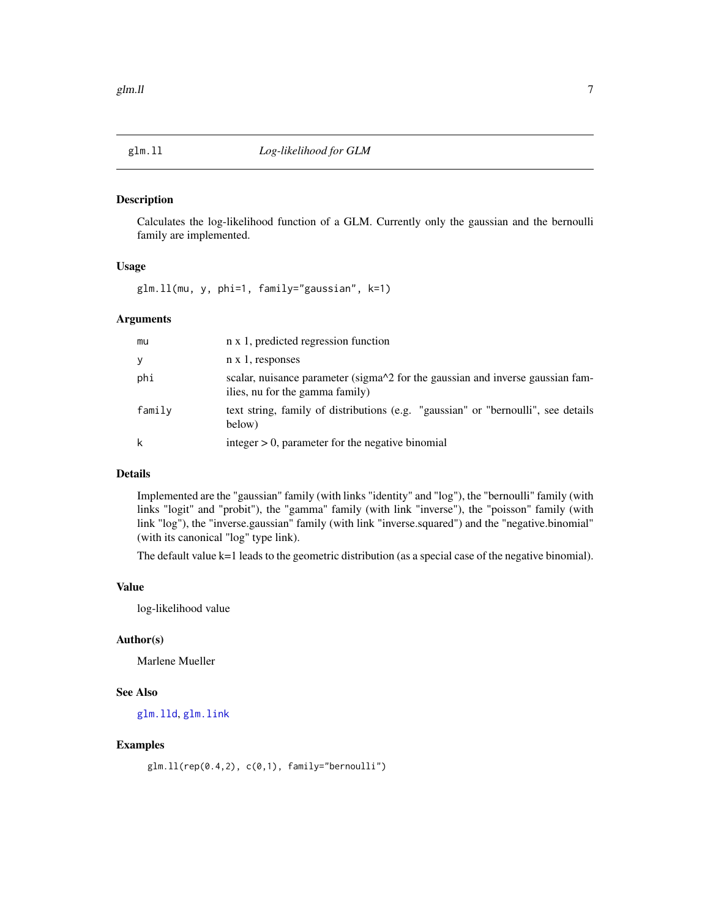<span id="page-6-1"></span><span id="page-6-0"></span>

Calculates the log-likelihood function of a GLM. Currently only the gaussian and the bernoulli family are implemented.

#### Usage

glm.ll(mu, y, phi=1, family="gaussian", k=1)

#### Arguments

| mu     | n x 1, predicted regression function                                                                              |
|--------|-------------------------------------------------------------------------------------------------------------------|
| У      | $n \times 1$ , responses                                                                                          |
| phi    | scalar, nuisance parameter (sigma^2 for the gaussian and inverse gaussian fam-<br>ilies, nu for the gamma family) |
| family | text string, family of distributions (e.g. "gaussian" or "bernoulli", see details<br>below)                       |
| k      | integer $> 0$ , parameter for the negative binomial                                                               |

#### Details

Implemented are the "gaussian" family (with links "identity" and "log"), the "bernoulli" family (with links "logit" and "probit"), the "gamma" family (with link "inverse"), the "poisson" family (with link "log"), the "inverse.gaussian" family (with link "inverse.squared") and the "negative.binomial" (with its canonical "log" type link).

The default value k=1 leads to the geometric distribution (as a special case of the negative binomial).

#### Value

log-likelihood value

#### Author(s)

Marlene Mueller

# See Also

[glm.lld](#page-7-1), [glm.link](#page-5-1)

# Examples

glm.ll(rep(0.4,2), c(0,1), family="bernoulli")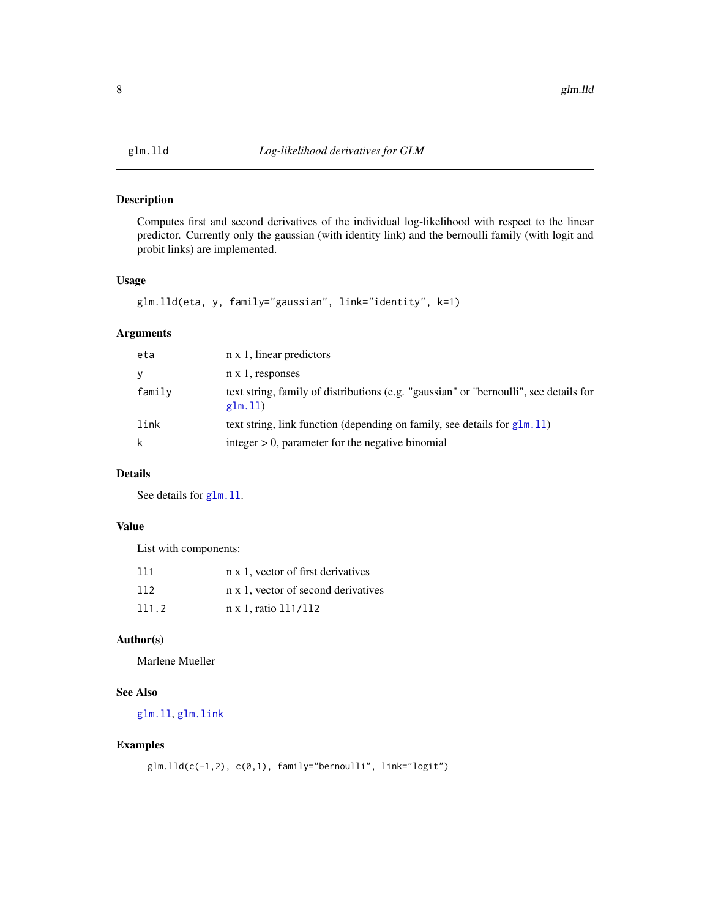<span id="page-7-1"></span><span id="page-7-0"></span>

Computes first and second derivatives of the individual log-likelihood with respect to the linear predictor. Currently only the gaussian (with identity link) and the bernoulli family (with logit and probit links) are implemented.

# Usage

```
glm.lld(eta, y, family="gaussian", link="identity", k=1)
```
## Arguments

| eta    | n x 1, linear predictors                                                                         |
|--------|--------------------------------------------------------------------------------------------------|
| У      | $n \times 1$ , responses                                                                         |
| family | text string, family of distributions (e.g. "gaussian" or "bernoulli", see details for<br>glm.11) |
| link   | text string, link function (depending on family, see details for $g1m.11$ )                      |
| k      | integer $> 0$ , parameter for the negative binomial                                              |

# Details

See details for glm. 11.

#### Value

List with components:

| 111   | n x 1, vector of first derivatives  |
|-------|-------------------------------------|
| 112   | n x 1, vector of second derivatives |
| 111.2 | n x 1, ratio 111/112                |

# Author(s)

Marlene Mueller

# See Also

[glm.ll](#page-6-1), [glm.link](#page-5-1)

```
glm.lld(c(-1,2), c(0,1), family="bernoulli", link="logit")
```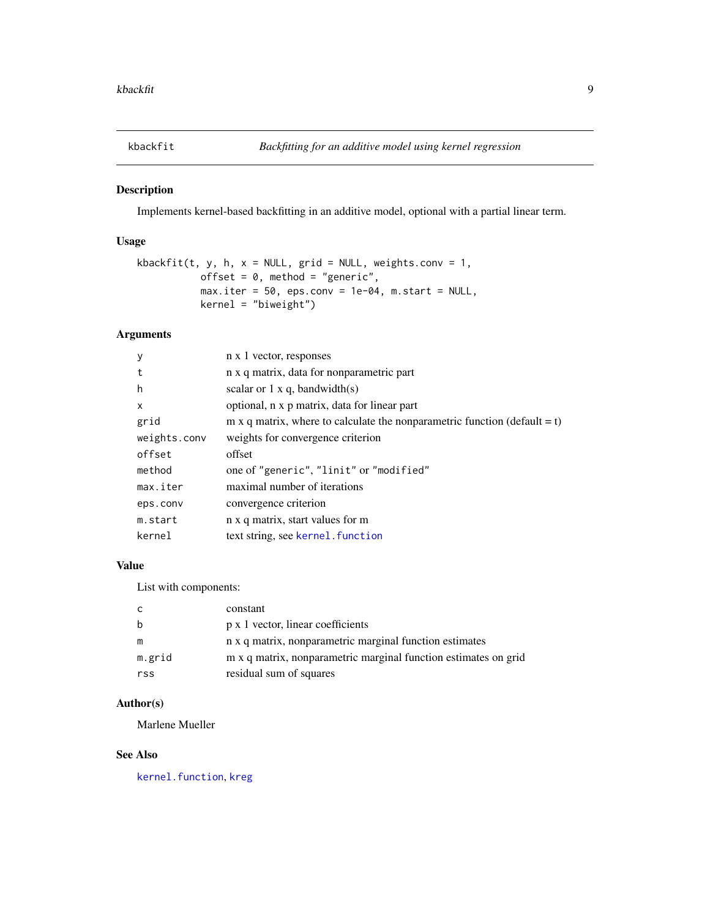<span id="page-8-0"></span>

Implements kernel-based backfitting in an additive model, optional with a partial linear term.

# Usage

```
kbackfit(t, y, h, x = NULL, grid = NULL, weights.conv = 1,
          offset = 0, method = "generic",
          max.iter = 50, eps.conv = 1e-04, m.start = NULL,
          kernel = "biweight")
```
# Arguments

| y            | n x 1 vector, responses                                                   |
|--------------|---------------------------------------------------------------------------|
| t            | n x q matrix, data for nonparametric part                                 |
| h            | scalar or $1 \times q$ , bandwidth(s)                                     |
| X            | optional, n x p matrix, data for linear part                              |
| grid         | m x q matrix, where to calculate the nonparametric function (default = t) |
| weights.conv | weights for convergence criterion                                         |
| offset       | offset                                                                    |
| method       | one of "generic", "linit" or "modified"                                   |
| max.iter     | maximal number of iterations                                              |
| eps.conv     | convergence criterion                                                     |
| m.start      | n x q matrix, start values for m                                          |
| kernel       | text string, see kernel. function                                         |
|              |                                                                           |

#### Value

List with components:

| C.     | constant                                                        |
|--------|-----------------------------------------------------------------|
| b      | p x 1 vector, linear coefficients                               |
| m      | n x q matrix, nonparametric marginal function estimates         |
| m.grid | m x q matrix, nonparametric marginal function estimates on grid |
| rss    | residual sum of squares                                         |

#### Author(s)

Marlene Mueller

# See Also

[kernel.function](#page-11-1), [kreg](#page-15-1)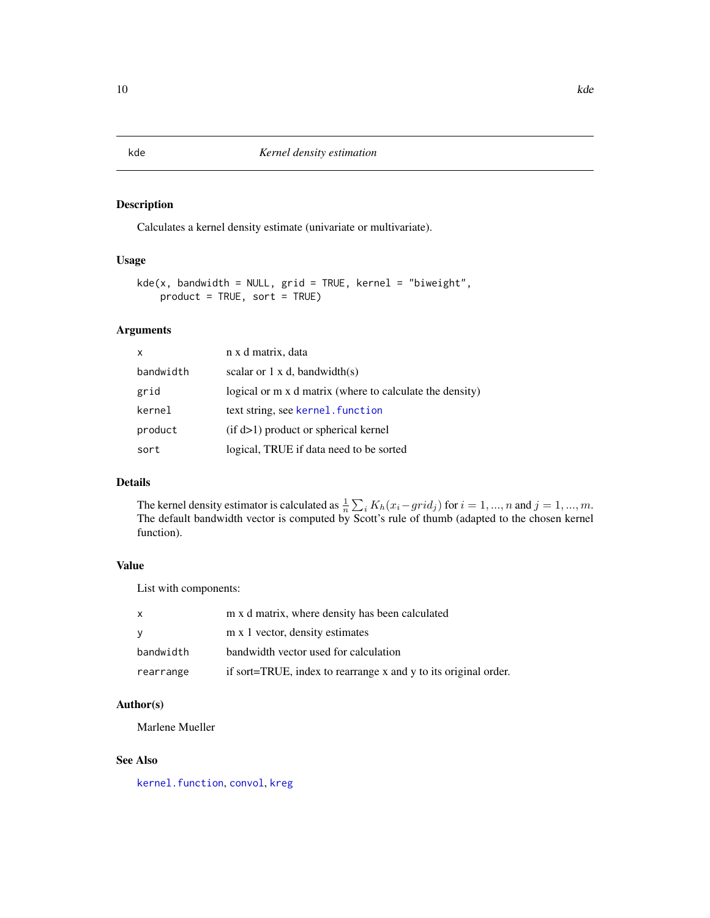Calculates a kernel density estimate (univariate or multivariate).

# Usage

```
kde(x, bandwidth = NULL, grid = TRUE, kernel = "biweight",product = TRUE, sort = TRUE)
```
#### Arguments

| $\mathsf{x}$ | n x d matrix, data                                       |
|--------------|----------------------------------------------------------|
| bandwidth    | scalar or $1 \times d$ , bandwidth(s)                    |
| grid         | logical or m x d matrix (where to calculate the density) |
| kernel       | text string, see kernel. function                        |
| product      | $(if d>1)$ product or spherical kernel                   |
| sort         | logical, TRUE if data need to be sorted                  |

# Details

The kernel density estimator is calculated as  $\frac{1}{n} \sum_i K_h(x_i - grid_j)$  for  $i = 1, ..., n$  and  $j = 1, ..., m$ . The default bandwidth vector is computed by Scott's rule of thumb (adapted to the chosen kernel function).

#### Value

List with components:

| X         | m x d matrix, where density has been calculated                 |
|-----------|-----------------------------------------------------------------|
| y         | m x 1 vector, density estimates                                 |
| bandwidth | bandwidth vector used for calculation                           |
| rearrange | if sort=TRUE, index to rearrange x and y to its original order. |

# Author(s)

Marlene Mueller

#### See Also

[kernel.function](#page-11-1), [convol](#page-2-1), [kreg](#page-15-1)

<span id="page-9-1"></span><span id="page-9-0"></span>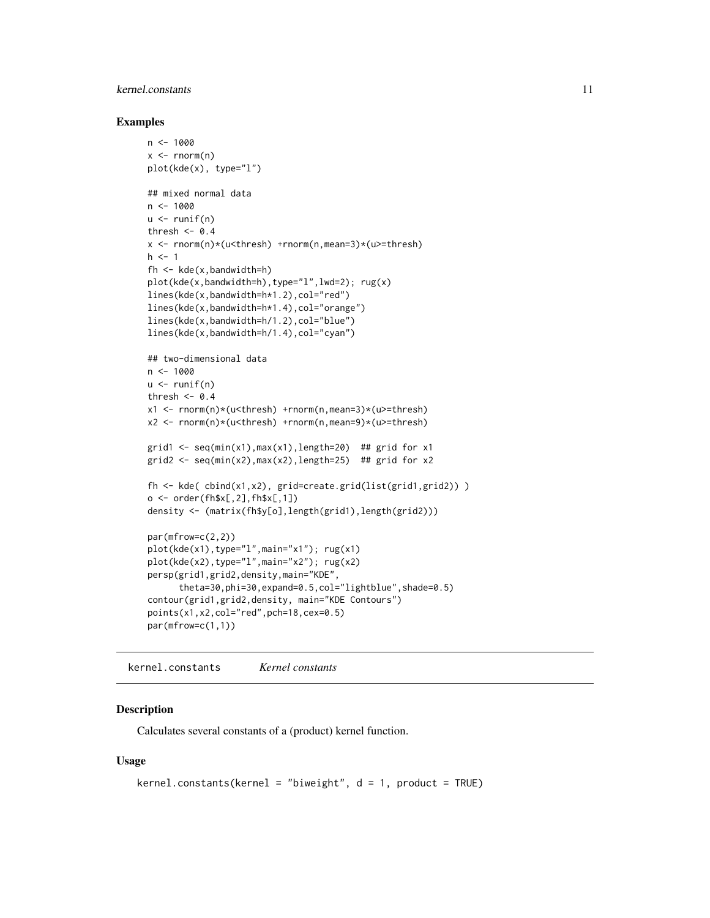# <span id="page-10-0"></span>kernel.constants 11

#### Examples

```
n < -1000x \leq -rnorm(n)plot(kde(x), type="l")
## mixed normal data
n < -1000u \leftarrow runif(n)thresh <-0.4x <- rnorm(n)*(u<thresh) +rnorm(n,mean=3)*(u>=thresh)
h < -1fh <- kde(x,bandwidth=h)
plot(kde(x,bandwidth=h),type="l",lwd=2); rug(x)
lines(kde(x,bandwidth=h*1.2),col="red")
lines(kde(x,bandwidth=h*1.4),col="orange")
lines(kde(x,bandwidth=h/1.2),col="blue")
lines(kde(x,bandwidth=h/1.4),col="cyan")
## two-dimensional data
n < -1000u \leftarrow runif(n)thresh <-0.4x1 <- rnorm(n)*(u<thresh) +rnorm(n,mean=3)*(u>=thresh)
x2 <- rnorm(n)*(u<thresh) +rnorm(n,mean=9)*(u>=thresh)
grid1 <- seq(min(x1), max(x1), length=20) ## grid for x1
grid2 <- seq(min(x2), max(x2), length=25) ## grid for x2
fh <- kde( cbind(x1,x2), grid=create.grid(list(grid1,grid2)) )
o \leq order(fh$x[,2],fh$x[,1])
density <- (matrix(fh$y[o],length(grid1),length(grid2)))
par(mfrow=c(2,2))
plot(kde(x1),type="l",main="x1"); rug(x1)
plot(kde(x2),type="l",main="x2"); rug(x2)
persp(grid1,grid2,density,main="KDE",
      theta=30,phi=30,expand=0.5,col="lightblue",shade=0.5)
contour(grid1,grid2,density, main="KDE Contours")
points(x1,x2,col="red",pch=18,cex=0.5)
par(mfrow=c(1,1))
```
kernel.constants *Kernel constants*

#### Description

Calculates several constants of a (product) kernel function.

#### Usage

```
kernel.constants(kernel = "biweight", d = 1, product = TRUE)
```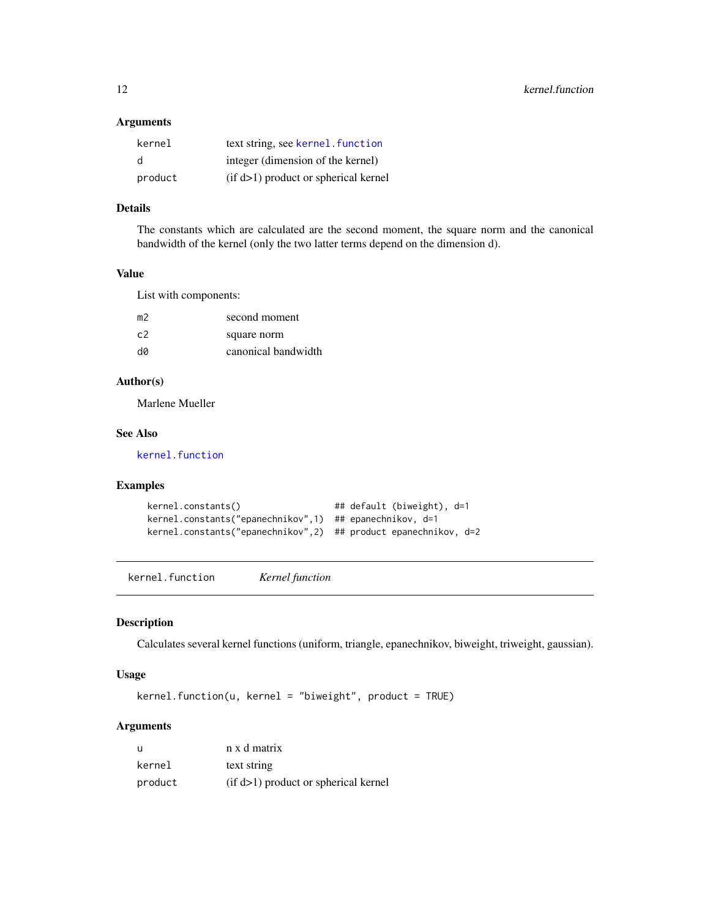#### <span id="page-11-0"></span>Arguments

| kernel  | text string, see kernel, function      |
|---------|----------------------------------------|
| d       | integer (dimension of the kernel)      |
| product | $(if d>1)$ product or spherical kernel |

#### Details

The constants which are calculated are the second moment, the square norm and the canonical bandwidth of the kernel (only the two latter terms depend on the dimension d).

#### Value

List with components:

| m2             | second moment       |
|----------------|---------------------|
| C <sub>2</sub> | square norm         |
| d0             | canonical bandwidth |

#### Author(s)

Marlene Mueller

# See Also

[kernel.function](#page-11-1)

# Examples

```
kernel.constants() \qquad \qquad \qquad \qquad \qquad ## default (biweight), d=1
kernel.constants("epanechnikov",1) ## epanechnikov, d=1
kernel.constants("epanechnikov",2) ## product epanechnikov, d=2
```
<span id="page-11-1"></span>kernel.function *Kernel function*

#### Description

Calculates several kernel functions (uniform, triangle, epanechnikov, biweight, triweight, gaussian).

#### Usage

kernel.function(u, kernel = "biweight", product = TRUE)

# Arguments

| u       | n x d matrix                           |
|---------|----------------------------------------|
| kernel  | text string                            |
| product | $(if d>1)$ product or spherical kernel |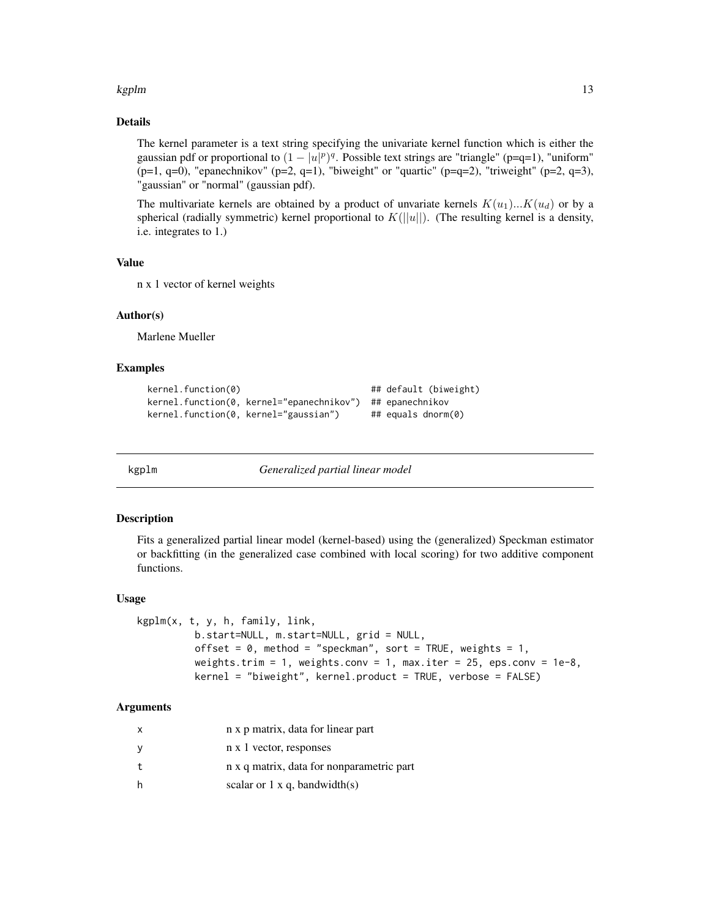#### <span id="page-12-0"></span>kgplm and the state of the state of the state of the state of the state of the state of the state of the state of the state of the state of the state of the state of the state of the state of the state of the state of the

# Details

The kernel parameter is a text string specifying the univariate kernel function which is either the gaussian pdf or proportional to  $(1 - |u|^p)^q$ . Possible text strings are "triangle" (p=q=1), "uniform"  $(p=1, q=0)$ , "epanechnikov" (p=2, q=1), "biweight" or "quartic" (p=q=2), "triweight" (p=2, q=3), "gaussian" or "normal" (gaussian pdf).

The multivariate kernels are obtained by a product of unvariate kernels  $K(u_1)...K(u_d)$  or by a spherical (radially symmetric) kernel proportional to  $K(||u||)$ . (The resulting kernel is a density, i.e. integrates to 1.)

#### Value

n x 1 vector of kernel weights

#### Author(s)

Marlene Mueller

#### Examples

```
kernel.function(0) ## default (biweight)
kernel.function(0, kernel="epanechnikov") ## epanechnikov
kernel.function(0, kernel="gaussian") ## equals dnorm(0)
```
<span id="page-12-1"></span>

kgplm *Generalized partial linear model*

#### **Description**

Fits a generalized partial linear model (kernel-based) using the (generalized) Speckman estimator or backfitting (in the generalized case combined with local scoring) for two additive component functions.

#### Usage

```
kgplm(x, t, y, h, family, link,
         b.start=NULL, m.start=NULL, grid = NULL,
          offset = 0, method = "speckman", sort = TRUE, weights = 1,
          weights.trim = 1, weights.conv = 1, max.iter = 25, eps.conv = 1e-8,
          kernel = "biweight", kernel.product = TRUE, verbose = FALSE)
```
#### Arguments

| X | n x p matrix, data for linear part        |
|---|-------------------------------------------|
| y | n x 1 vector, responses                   |
| t | n x q matrix, data for nonparametric part |
| h | scalar or $1 \times q$ , bandwidth(s)     |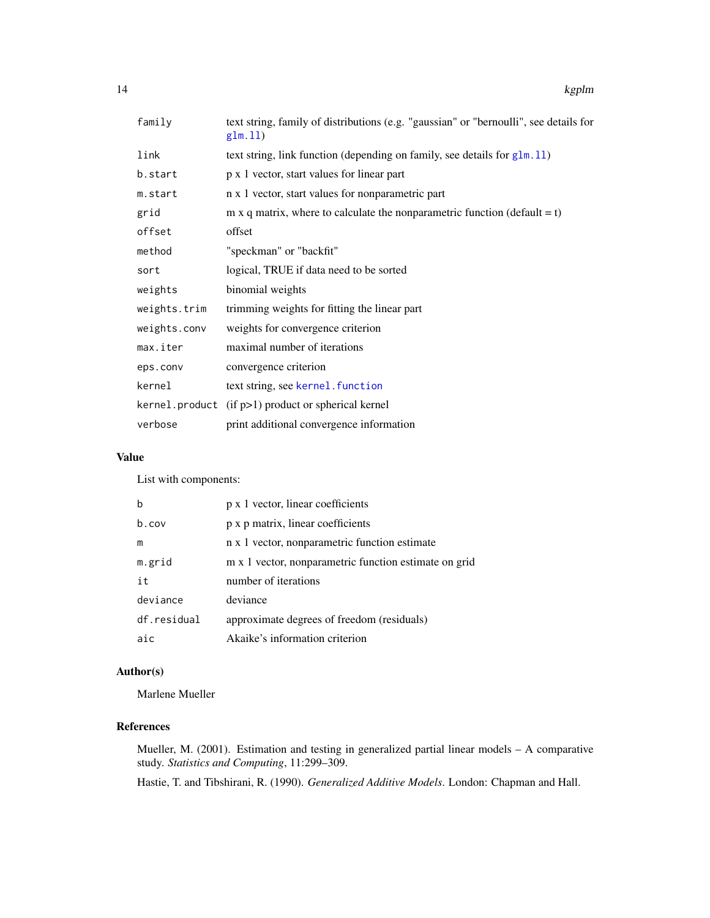<span id="page-13-0"></span>

| family       | text string, family of distributions (e.g. "gaussian" or "bernoulli", see details for<br>glm.11) |
|--------------|--------------------------------------------------------------------------------------------------|
| link         | text string, link function (depending on family, see details for $g1m.11$ )                      |
| b.start      | p x 1 vector, start values for linear part                                                       |
| m.start      | n x 1 vector, start values for nonparametric part                                                |
| grid         | m x q matrix, where to calculate the nonparametric function (default = $t$ )                     |
| offset       | offset                                                                                           |
| method       | "speckman" or "backfit"                                                                          |
| sort         | logical, TRUE if data need to be sorted                                                          |
| weights      | binomial weights                                                                                 |
| weights.trim | trimming weights for fitting the linear part                                                     |
| weights.conv | weights for convergence criterion                                                                |
| max.iter     | maximal number of iterations                                                                     |
| eps.conv     | convergence criterion                                                                            |
| kernel       | text string, see kernel. function                                                                |
|              | $\ker$ nel. product (if p>1) product or spherical kernel                                         |
| verbose      | print additional convergence information                                                         |
|              |                                                                                                  |

#### Value

List with components:

| b           | p x 1 vector, linear coefficients                     |
|-------------|-------------------------------------------------------|
| $b$ . COV   | p x p matrix, linear coefficients                     |
| m           | n x 1 vector, nonparametric function estimate         |
| m.grid      | m x 1 vector, nonparametric function estimate on grid |
| it          | number of iterations                                  |
| deviance    | deviance                                              |
| df.residual | approximate degrees of freedom (residuals)            |
| aic         | Akaike's information criterion                        |

# Author(s)

Marlene Mueller

# References

Mueller, M. (2001). Estimation and testing in generalized partial linear models – A comparative study. *Statistics and Computing*, 11:299–309.

Hastie, T. and Tibshirani, R. (1990). *Generalized Additive Models*. London: Chapman and Hall.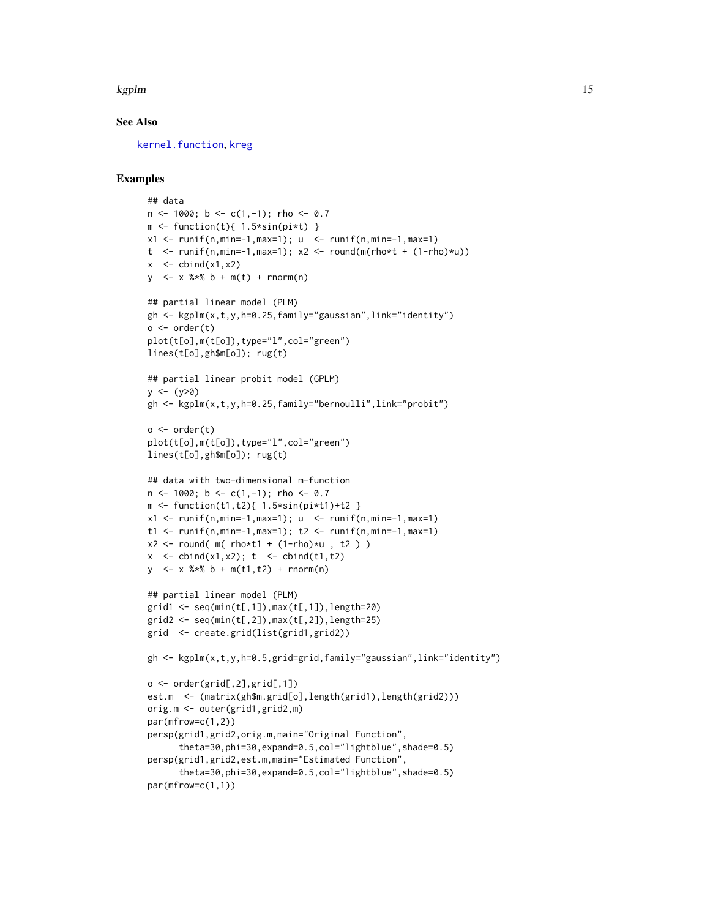#### <span id="page-14-0"></span>kgplm and the state of the state of the state of the state of the state of the state of the state of the state of the state of the state of the state of the state of the state of the state of the state of the state of the

#### See Also

[kernel.function](#page-11-1), [kreg](#page-15-1)

```
## data
n \le -1000; b \le -c(1,-1); rho \le -0.7m \leftarrow function(t){ 1.5*sin(pi*t) }
x1 \leftarrow runif(n, min=-1, max=1); u \leftarrow runif(n, min=-1, max=1)t \leftarrow runif(n,min=-1,max=1); x2 \leftarrow round(m(rho*t + (1-rho)*u))
x \le - cbind(x1, x2)
y <- x %*% b + m(t) + rnorm(n)
## partial linear model (PLM)
gh <- kgplm(x,t,y,h=0.25,family="gaussian",link="identity")
o \leftarrow order(t)plot(t[o],m(t[o]),type="l",col="green")
lines(t[o],gh$m[o]); rug(t)
## partial linear probit model (GPLM)
y \le - (y>0)
gh <- kgplm(x,t,y,h=0.25,family="bernoulli",link="probit")
o \leftarrow order(t)plot(t[o],m(t[o]),type="l",col="green")
lines(t[o],gh$m[o]); rug(t)
## data with two-dimensional m-function
n \le -1000; b \le -c(1,-1); rho \le -0.7m <- function(t1,t2){ 1.5*sin(pi*t1)+t2 }
x1 \le runif(n,min=-1,max=1); u \le runif(n,min=-1,max=1)
t1 <- runif(n,min=-1,max=1); t2 <- runif(n,min=-1,max=1)
x2 \le round( m( rho*t1 + (1-rho)*u, t2))
x \le - cbind(x1,x2); t \le - cbind(t1,t2)
y \le -x %*% b + m(t1,t2) + rnorm(n)
## partial linear model (PLM)
grid1 < -seq(min(t[,1]), max(t[,1]), length=20)
grid2 \leq seq(min(t[,2]), max(t[,2]), length=25)
grid <- create.grid(list(grid1,grid2))
gh <- kgplm(x,t,y,h=0.5,grid=grid,family="gaussian",link="identity")
o \leftarrow order(grid[, 2], grid[, 1]est.m <- (matrix(gh$m.grid[o],length(grid1),length(grid2)))
orig.m <- outer(grid1,grid2,m)
par(mfrow=c(1,2))
persp(grid1,grid2,orig.m,main="Original Function",
      theta=30,phi=30,expand=0.5,col="lightblue",shade=0.5)
persp(grid1,grid2,est.m,main="Estimated Function",
      theta=30,phi=30,expand=0.5,col="lightblue",shade=0.5)
par(mfrow=c(1,1))
```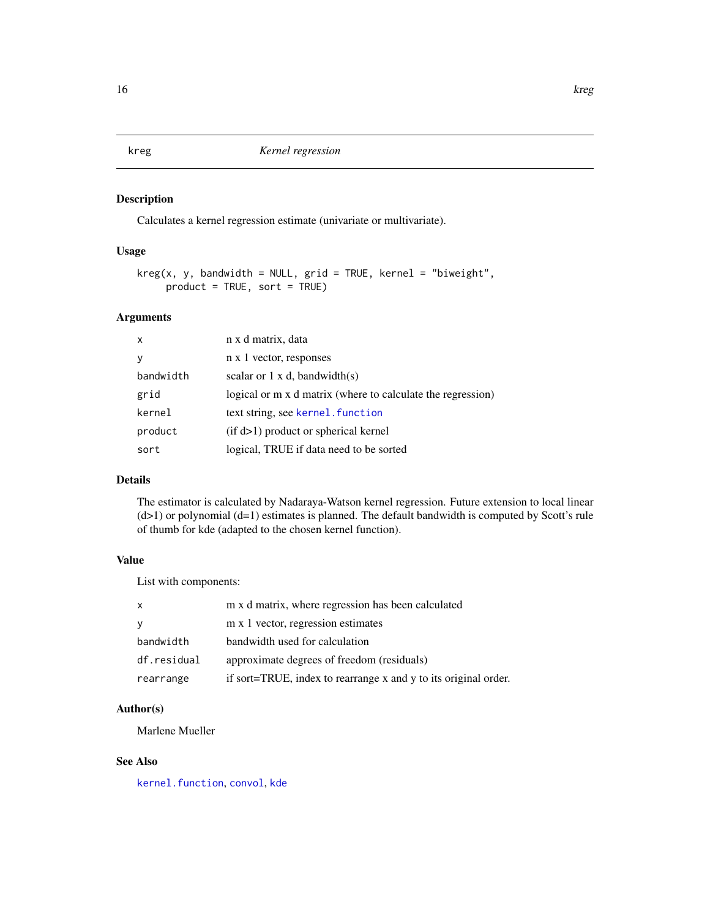<span id="page-15-1"></span><span id="page-15-0"></span>kreg *Kernel regression*

# Description

Calculates a kernel regression estimate (univariate or multivariate).

#### Usage

```
kreg(x, y, bandwidth = NULL, grid = TRUE, kernel = "biweight",product = TRUE, sort = TRUE)
```
# Arguments

| $\mathsf{x}$ | n x d matrix, data                                          |
|--------------|-------------------------------------------------------------|
| y            | n x 1 vector, responses                                     |
| bandwidth    | scalar or $1 \times d$ , bandwidth $(s)$                    |
| grid         | logical or m x d matrix (where to calculate the regression) |
| kernel       | text string, see kernel. function                           |
| product      | $(if d>1)$ product or spherical kernel                      |
| sort         | logical, TRUE if data need to be sorted                     |

#### Details

The estimator is calculated by Nadaraya-Watson kernel regression. Future extension to local linear (d>1) or polynomial (d=1) estimates is planned. The default bandwidth is computed by Scott's rule of thumb for kde (adapted to the chosen kernel function).

#### Value

List with components:

| X           | m x d matrix, where regression has been calculated              |
|-------------|-----------------------------------------------------------------|
| <b>V</b>    | m x 1 vector, regression estimates                              |
| bandwidth   | bandwidth used for calculation                                  |
| df.residual | approximate degrees of freedom (residuals)                      |
| rearrange   | if sort=TRUE, index to rearrange x and y to its original order. |

# Author(s)

Marlene Mueller

# See Also

[kernel.function](#page-11-1), [convol](#page-2-1), [kde](#page-9-1)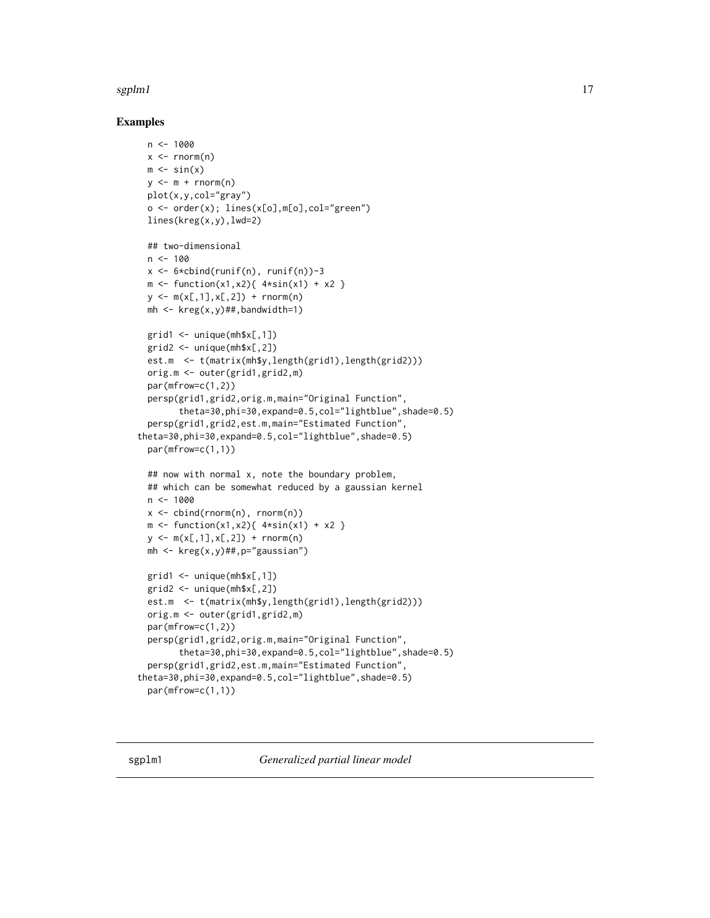#### <span id="page-16-0"></span> $s$ gplm1 17

```
n < -1000x < - rnorm(n)
 m \leftarrow \sin(x)y \leq m + \text{norm}(n)plot(x,y,col="gray")
 o <- order(x); lines(x[o],m[o],col="green")
 lines(kreg(x,y),lwd=2)
 ## two-dimensional
 n < -100x \le -6 \times \text{cbind}(\text{runif}(n), \text{runif}(n)) - 3m \le function(x1,x2){ 4 \times sin(x1) + x2 }
 y \leq m(x[, 1], x[, 2]) + rnorm(n)mh \leq kreg(x,y)##,bandwidth=1)
 grid1 \leq -unique(mh$x[,1])
 grid2 < - unique(mh$x[, 2])
 est.m <- t(matrix(mh$y,length(grid1),length(grid2)))
 orig.m <- outer(grid1,grid2,m)
 par(mfrow=c(1,2))
 persp(grid1,grid2,orig.m,main="Original Function",
        theta=30,phi=30,expand=0.5,col="lightblue",shade=0.5)
 persp(grid1,grid2,est.m,main="Estimated Function",
theta=30,phi=30,expand=0.5,col="lightblue",shade=0.5)
 par(mfrow=c(1,1))
 ## now with normal x, note the boundary problem,
 ## which can be somewhat reduced by a gaussian kernel
 n < -1000x \le cbind(rnorm(n), rnorm(n))
 m \le function(x1,x2){ 4 \times sin(x1) + x2 }
 y \leq -m(x[, 1], x[, 2]) + rnorm(n)mh \leq kreg(x,y)##,p="gaussian")
 grid1 \leq unique(mh$x[,1])
 grid2 \leq -unique(mh$x[,2])
 est.m <- t(matrix(mh$y,length(grid1),length(grid2)))
 orig.m <- outer(grid1,grid2,m)
 par(mfrow=c(1,2))
 persp(grid1,grid2,orig.m,main="Original Function",
        theta=30,phi=30,expand=0.5,col="lightblue",shade=0.5)
 persp(grid1,grid2,est.m,main="Estimated Function",
theta=30,phi=30,expand=0.5,col="lightblue",shade=0.5)
 par(mfrow=c(1,1))
```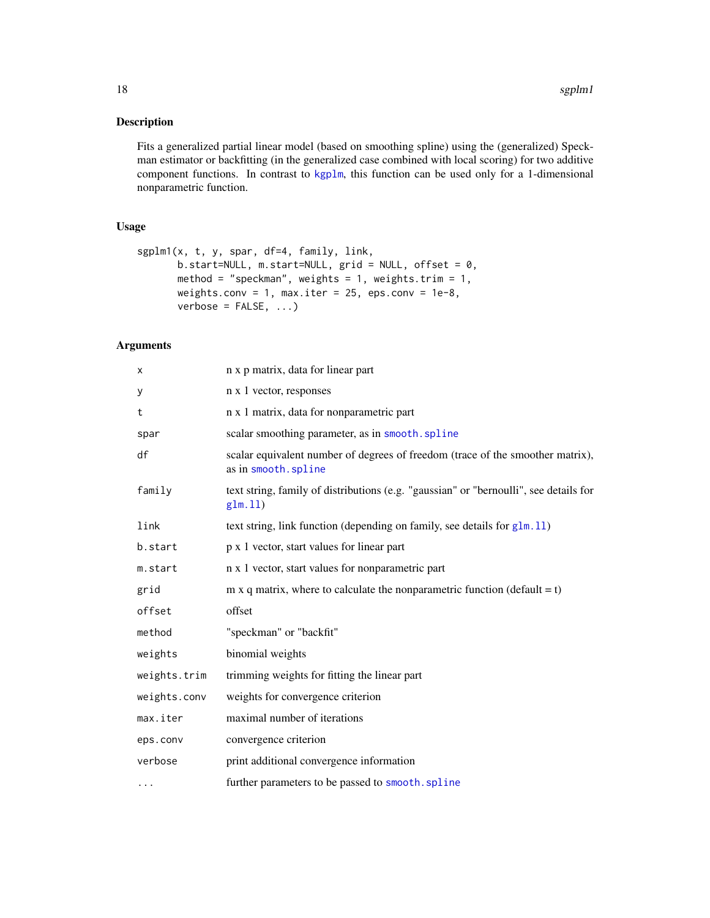<span id="page-17-0"></span>Fits a generalized partial linear model (based on smoothing spline) using the (generalized) Speckman estimator or backfitting (in the generalized case combined with local scoring) for two additive component functions. In contrast to [kgplm](#page-12-1), this function can be used only for a 1-dimensional nonparametric function.

#### Usage

```
sgplm1(x, t, y, spar, df=4, family, link,
      b.start=NULL, m.start=NULL, grid = NULL, offset = 0,
      method = "speckman", weights = 1, weights.trim = 1,
      weights.conv = 1, max.iter = 25, eps.conv = 1e-8,
      verbose = FALSE, ...)
```
# Arguments

| X            | n x p matrix, data for linear part                                                                    |
|--------------|-------------------------------------------------------------------------------------------------------|
| У            | n x 1 vector, responses                                                                               |
| t            | n x 1 matrix, data for nonparametric part                                                             |
| spar         | scalar smoothing parameter, as in smooth. spline                                                      |
| df           | scalar equivalent number of degrees of freedom (trace of the smoother matrix),<br>as in smooth.spline |
| family       | text string, family of distributions (e.g. "gaussian" or "bernoulli", see details for<br>glm.11)      |
| link         | text string, link function (depending on family, see details for $g1m.11$ )                           |
| b.start      | p x 1 vector, start values for linear part                                                            |
| m.start      | n x 1 vector, start values for nonparametric part                                                     |
| grid         | m x q matrix, where to calculate the nonparametric function (default = $t$ )                          |
| offset       | offset                                                                                                |
| method       | "speckman" or "backfit"                                                                               |
| weights      | binomial weights                                                                                      |
| weights.trim | trimming weights for fitting the linear part                                                          |
| weights.conv | weights for convergence criterion                                                                     |
| max.iter     | maximal number of iterations                                                                          |
| eps.conv     | convergence criterion                                                                                 |
| verbose      | print additional convergence information                                                              |
| $\cdots$     | further parameters to be passed to smooth. spline                                                     |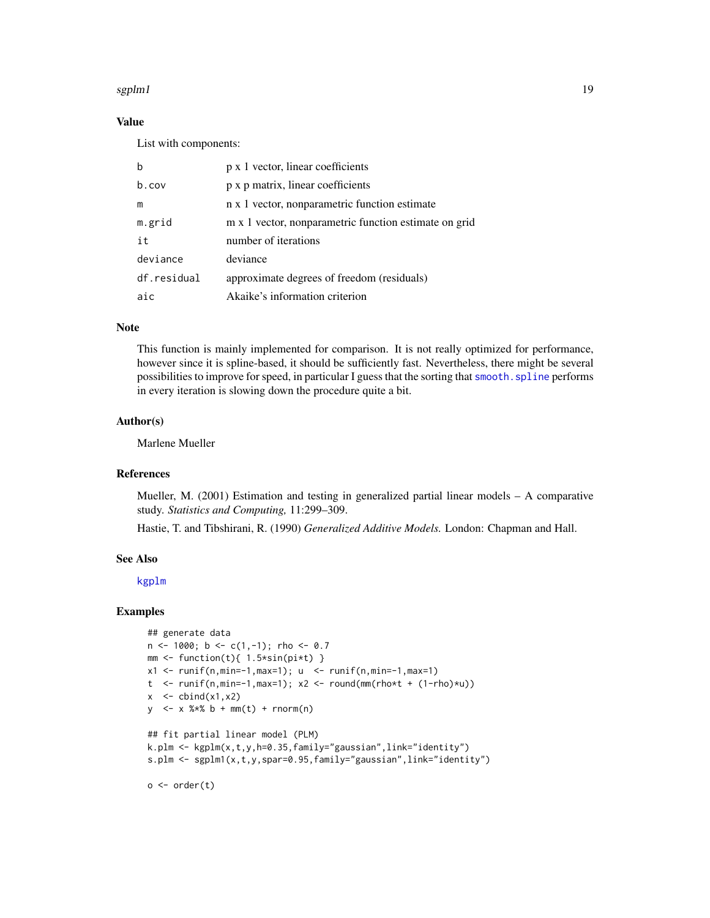#### <span id="page-18-0"></span>sgplm1 and the system of the system of the system of the system of the system of the system of the system of the system of the system of the system of the system of the system of the system of the system of the system of t

# Value

List with components:

| h           | p x 1 vector, linear coefficients                     |
|-------------|-------------------------------------------------------|
| $b$ . COV   | p x p matrix, linear coefficients                     |
| m           | n x 1 vector, nonparametric function estimate         |
| m.grid      | m x 1 vector, nonparametric function estimate on grid |
| it          | number of iterations                                  |
| deviance    | deviance                                              |
| df.residual | approximate degrees of freedom (residuals)            |
| aic         | Akaike's information criterion                        |

# Note

This function is mainly implemented for comparison. It is not really optimized for performance, however since it is spline-based, it should be sufficiently fast. Nevertheless, there might be several possibilities to improve for speed, in particular I guess that the sorting that [smooth.spline](#page-0-0) performs in every iteration is slowing down the procedure quite a bit.

#### Author(s)

Marlene Mueller

#### References

Mueller, M. (2001) Estimation and testing in generalized partial linear models – A comparative study. *Statistics and Computing,* 11:299–309.

Hastie, T. and Tibshirani, R. (1990) *Generalized Additive Models.* London: Chapman and Hall.

#### See Also

[kgplm](#page-12-1)

```
## generate data
n \le -1000; b \le -c(1,-1); rho \le -0.7mm \leq function(t){ 1.5*sin(pi*t) }
x1 \leftarrow runif(n, min=-1, max=1); u \leftarrow runif(n, min=-1, max=1)t \leftarrow runif(n,min=-1,max=1); x2 \leftarrow round(mm(rho*t + (1-rho)*u))
x \le - cbind(x1, x2)
y \le -x %*% b + mm(t) + rnorm(n)
## fit partial linear model (PLM)
k.plm <- kgplm(x,t,y,h=0.35,family="gaussian",link="identity")
s.plm <- sgplm1(x,t,y,spar=0.95,family="gaussian",link="identity")
o \leftarrow order(t)
```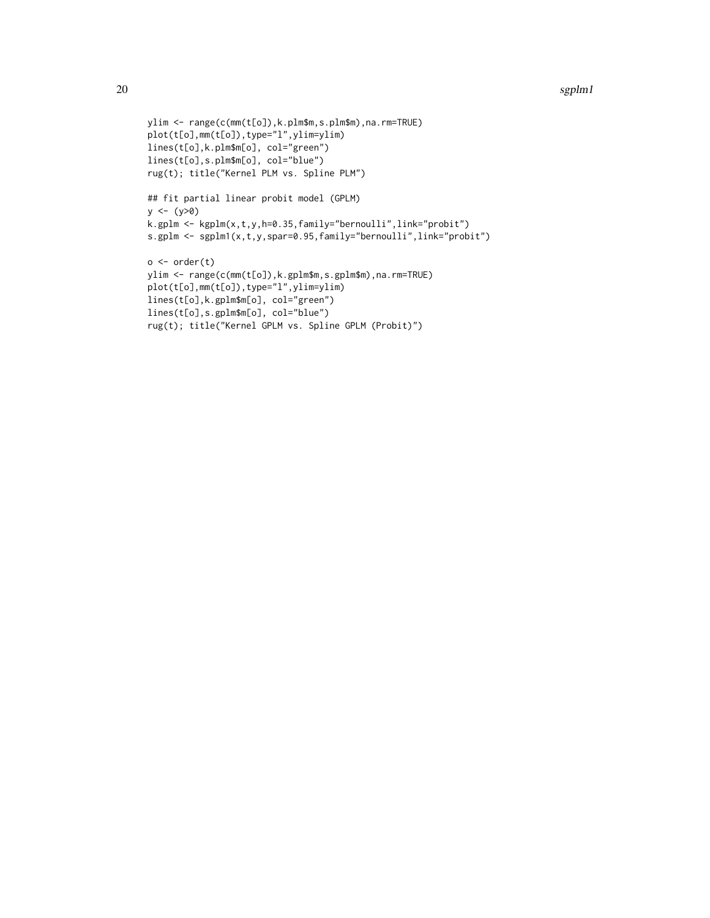#### 20 sgplm1

```
ylim <- range(c(mm(t[o]),k.plm$m,s.plm$m),na.rm=TRUE)
plot(t[o],mm(t[o]),type="l",ylim=ylim)
lines(t[o],k.plm$m[o], col="green")
lines(t[o],s.plm$m[o], col="blue")
rug(t); title("Kernel PLM vs. Spline PLM")
## fit partial linear probit model (GPLM)
y <- (y>0)
k.gplm <- kgplm(x,t,y,h=0.35,family="bernoulli",link="probit")
s.gplm <- sgplm1(x,t,y,spar=0.95,family="bernoulli",link="probit")
o \leftarrow order(t)ylim <- range(c(mm(t[o]),k.gplm$m,s.gplm$m),na.rm=TRUE)
plot(t[o],mm(t[o]),type="l",ylim=ylim)
lines(t[o],k.gplm$m[o], col="green")
lines(t[o],s.gplm$m[o], col="blue")
rug(t); title("Kernel GPLM vs. Spline GPLM (Probit)")
```